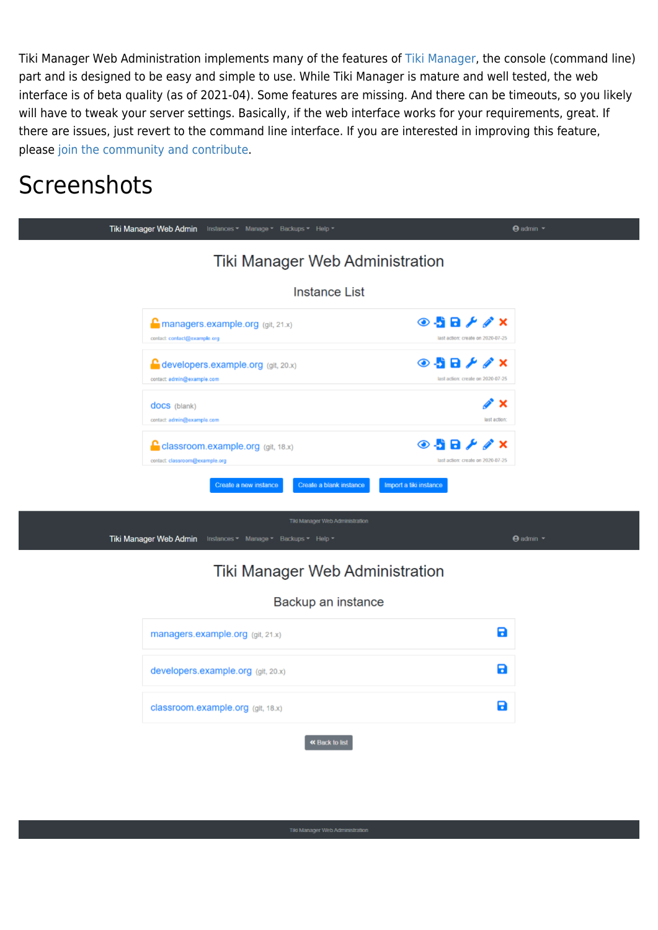Tiki Manager Web Administration implements many of the features of [Tiki Manager,](https://doc.tiki.org/Manager) the console (command line) part and is designed to be easy and simple to use. While Tiki Manager is mature and well tested, the web interface is of beta quality (as of 2021-04). Some features are missing. And there can be timeouts, so you likely will have to tweak your server settings. Basically, if the web interface works for your requirements, great. If there are issues, just revert to the command line interface. If you are interested in improving this feature, please [join the community and contribute.](https://gitlab.com/tikiwiki/tiki-manager)

# **Screenshots**

| Tiki Manager Web Admin Instances * Manage * Backups * Help *                                       | $\Theta$ admin $\tau$                                                      |
|----------------------------------------------------------------------------------------------------|----------------------------------------------------------------------------|
| Tiki Manager Web Administration                                                                    |                                                                            |
| <b>Instance List</b>                                                                               |                                                                            |
| $\Gamma$ managers.example.org (git, 21.x)<br>contact: contact@example.org                          | $\odot$ 58 $\neq$ $\nearrow$ $\times$<br>last action: create on 2020-07-25 |
| <b>C</b> developers.example.org (git, 20.x)<br>contact: admin@example.com                          | $\odot$ 58 $\neq$ $\neq$ x<br>last action: create on 2020-07-25            |
| docs (blank)<br>contact: admin@example.com                                                         | ∥* ×<br>last action:                                                       |
| $\Gamma$ classroom.example.org (git, 18.x)<br>contact: classroom@example.org                       | $\odot$ 5 8 $\neq$ $\nearrow$ x<br>last action: create on 2020-07-25       |
| Create a blank instance<br>Create a new instance                                                   | Import a tiki instance                                                     |
| Tiki Manager Web Administration<br>Tiki Manager Web Admin<br>Instances ▼ Manage ▼ Backups ▼ Help ▼ | $\Theta$ admin $\tau$                                                      |

#### Tiki Manager Web Administration

#### Backup an instance

| managers.example.org (git, 21.x)   |  |
|------------------------------------|--|
| developers.example.org (git, 20.x) |  |
| classroom.example.org (git, 18.x)  |  |
| « Back to list                     |  |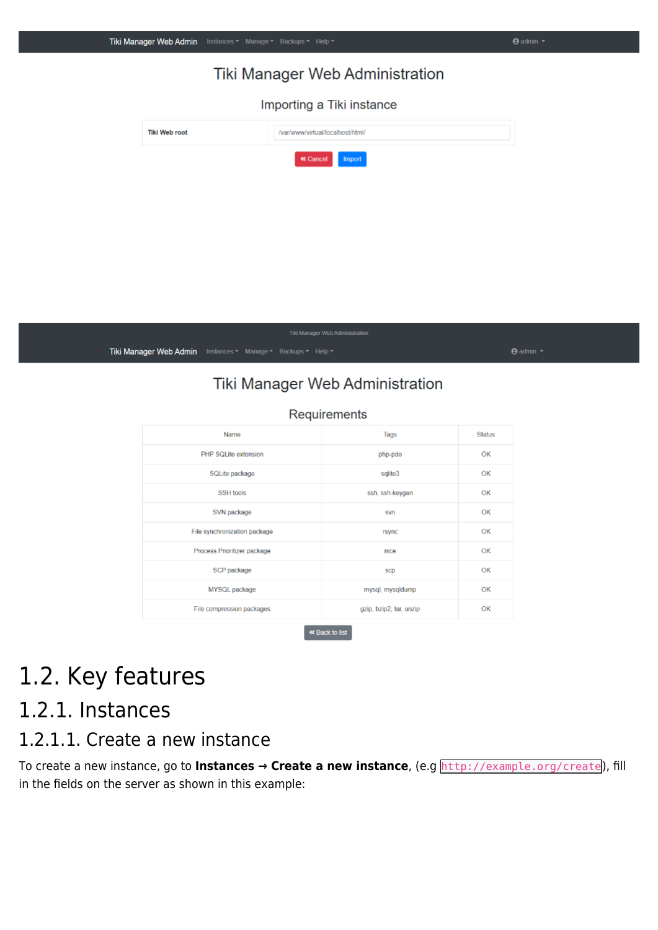|                      |                                                              | Tiki Manager Web Administration  |                       |
|----------------------|--------------------------------------------------------------|----------------------------------|-----------------------|
|                      |                                                              | Importing a Tiki instance        |                       |
| <b>Tiki Web root</b> |                                                              | /var/www/virtual/localhost/html/ |                       |
|                      |                                                              | « Cancel<br>Import               |                       |
|                      |                                                              |                                  |                       |
|                      |                                                              |                                  |                       |
|                      |                                                              |                                  |                       |
|                      |                                                              |                                  |                       |
|                      |                                                              |                                  |                       |
|                      |                                                              | Tiki Manager Web Administration  |                       |
|                      | Tiki Manager Web Admin Instances v Manage v Backups v Help v |                                  | $\Theta$ admin $\tau$ |

 $\Theta$  admin  $\sim$ 

Tiki Manager Web Admin Instances - Manage - Backups - Help -

#### Tiki Manager Web Administration

| Requirements                 |                         |        |  |
|------------------------------|-------------------------|--------|--|
| Name                         | Tags                    | Status |  |
| PHP SQLife extension         | php-pdo                 | OK     |  |
| SQLite package               | sqlite3                 | OK     |  |
| SSH tools                    | ssh, ssh-keygen         | OK     |  |
| SVN package                  | svn                     | OK     |  |
| File synchronization package | rsync                   | OK     |  |
| Process Prioritizer package  | nice                    | OK     |  |
| SCP package                  | scp                     | OK     |  |
| MYSQL package                | mysql, mysqldump        | OK     |  |
| File compression packages    | gzip, bzip2, tar, unzip | OK     |  |
| « Back to list               |                         |        |  |

# 1.2. Key features

### 1.2.1. Instances

#### 1.2.1.1. Create a new instance

To create a new instance, go to **Instances → Create a new instance**, (e.g http://example.org/create), fill in the fields on the server as shown in this example: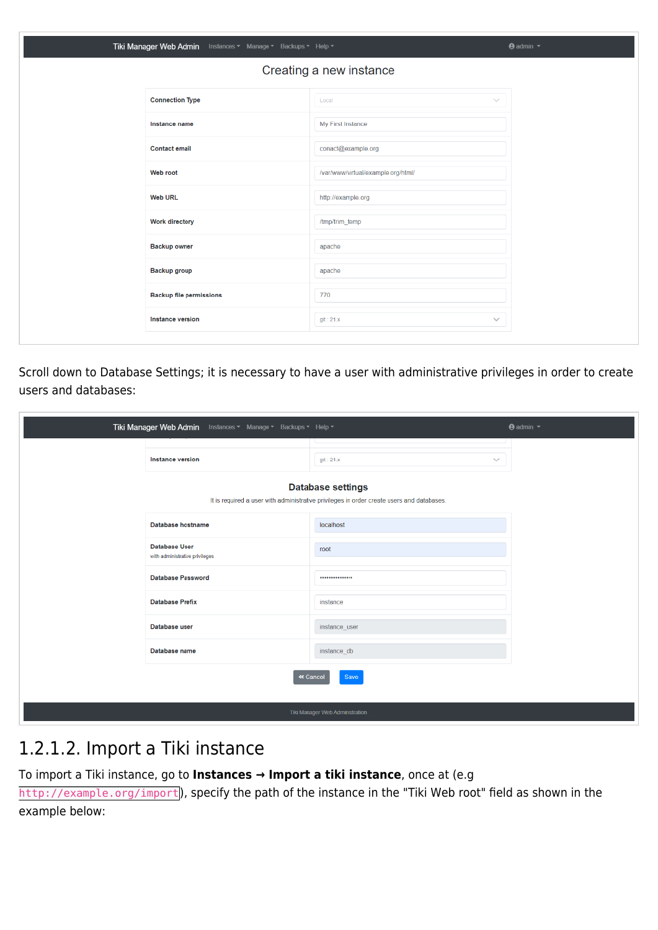| Tiki Manager Web Admin Instances v Manage v Backups v Help v |                                    | $\Theta$ admin $\tau$ |
|--------------------------------------------------------------|------------------------------------|-----------------------|
|                                                              | Creating a new instance            |                       |
| <b>Connection Type</b>                                       | Local                              | $\sim$                |
| Instance name                                                | My First Instance                  |                       |
| <b>Contact email</b>                                         | conact@example.org                 |                       |
| Web root                                                     | /var/www/virtual/example.org/html/ |                       |
| <b>Web URL</b>                                               | http://example.org                 |                       |
| <b>Work directory</b>                                        | /tmp/trim_temp                     |                       |
| <b>Backup owner</b>                                          | apache                             |                       |
| Backup group                                                 | apache                             |                       |
| <b>Backup file permissions</b>                               | 770                                |                       |
| <b>Instance version</b>                                      | gt:21.x                            | $\checkmark$          |

Scroll down to Database Settings; it is necessary to have a user with administrative privileges in order to create users and databases:

| Tiki Manager Web Admin Instances v Manage v Backups v Help v |                                                                                                                       | $\Theta$ admin $\tau$ |
|--------------------------------------------------------------|-----------------------------------------------------------------------------------------------------------------------|-----------------------|
| Instance version                                             | git: 21.x<br>$\searrow$                                                                                               |                       |
|                                                              | <b>Database settings</b><br>It is required a user with administrative privileges in order create users and databases. |                       |
| Database hostname                                            | localhost                                                                                                             |                       |
| <b>Database User</b><br>with administrative privileges       | root                                                                                                                  |                       |
| <b>Database Password</b>                                     |                                                                                                                       |                       |
| <b>Database Prefix</b>                                       | instance                                                                                                              |                       |
| Database user                                                | instance_user                                                                                                         |                       |
| Database name                                                | instance_db                                                                                                           |                       |
|                                                              | « Cancel<br>Save                                                                                                      |                       |
|                                                              | Tiki Manager Web Administration                                                                                       |                       |

#### 1.2.1.2. Import a Tiki instance

To import a Tiki instance, go to **Instances → Import a tiki instance**, once at (e.g

http://example.org/import), specify the path of the instance in the "Tiki Web root" field as shown in the example below: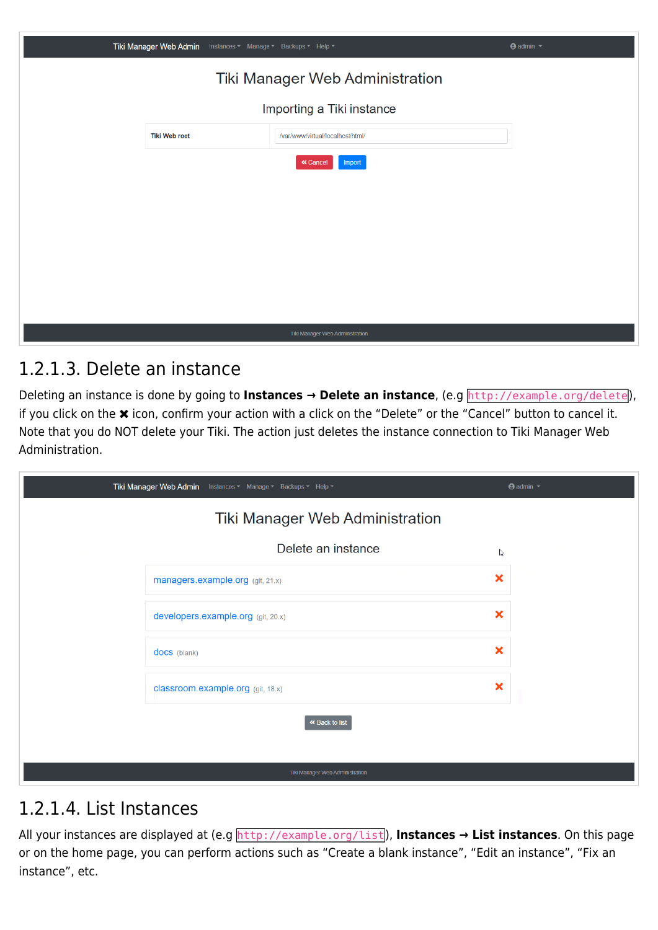| Tiki Manager Web Admin<br>Instances ▼ Manage ▼ Backups ▼ Help ▼ |                                  | <b>⊕</b> admin ▼ |
|-----------------------------------------------------------------|----------------------------------|------------------|
|                                                                 | Tiki Manager Web Administration  |                  |
|                                                                 | Importing a Tiki instance        |                  |
| <b>Tiki Web root</b>                                            | /var/www/virtual/localhost/html/ |                  |
|                                                                 | « Cancel<br>Import               |                  |
|                                                                 |                                  |                  |
|                                                                 |                                  |                  |
|                                                                 |                                  |                  |
|                                                                 |                                  |                  |
|                                                                 |                                  |                  |
|                                                                 | Tiki Manager Web Administration  |                  |
|                                                                 |                                  |                  |

#### 1.2.1.3. Delete an instance

Deleting an instance is done by going to **Instances → Delete an instance**, (e.g http://example.org/delete), if you click on the  $\bm{\times}$  icon, confirm your action with a click on the "Delete" or the "Cancel" button to cancel it. Note that you do NOT delete your Tiki. The action just deletes the instance connection to Tiki Manager Web Administration.

| Tiki Manager Web Admin Instances v Manage v Backups v Help v | $\Theta$ admin $\sim$     |
|--------------------------------------------------------------|---------------------------|
| Tiki Manager Web Administration                              |                           |
| Delete an instance                                           | $\mathbb{Z}$              |
| managers.example.org (git, 21.x)                             | $\boldsymbol{\mathsf{x}}$ |
| developers.example.org (git, 20.x)                           | $\boldsymbol{\mathsf{x}}$ |
| docs (blank)                                                 | $\boldsymbol{\mathsf{x}}$ |
| classroom.example.org (git, 18.x)                            | $\boldsymbol{\mathsf{x}}$ |
| « Back to list                                               |                           |
|                                                              |                           |

#### 1.2.1.4. List Instances

All your instances are displayed at (e.g http://example.org/list), **Instances → List instances**. On this page or on the home page, you can perform actions such as "Create a blank instance", "Edit an instance", "Fix an instance", etc.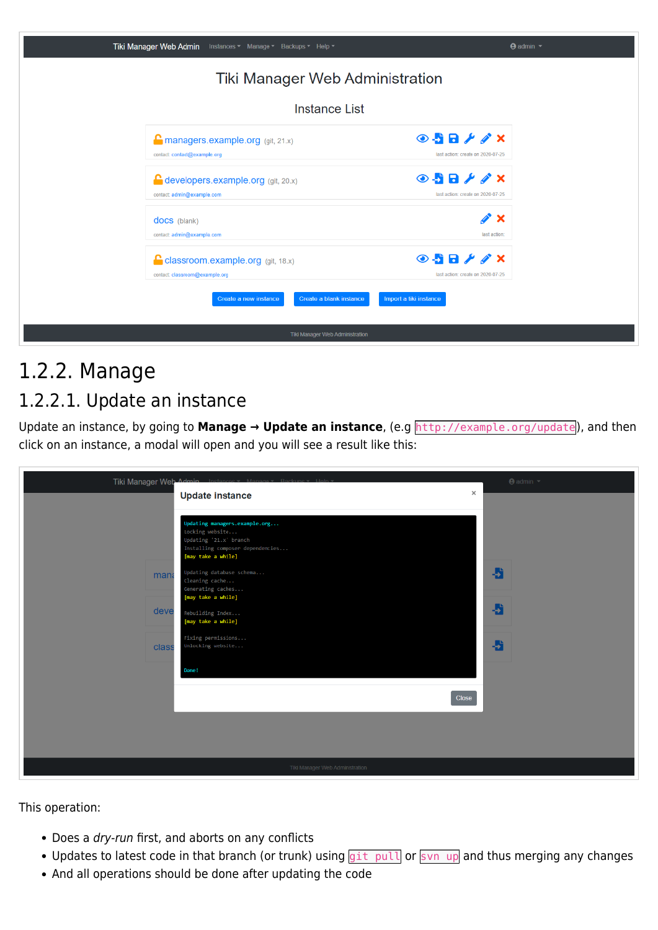| Tiki Manager Web Admin Instances v Manage v Backups v Help v                 | <b>⊕</b> admin ▼                                                       |
|------------------------------------------------------------------------------|------------------------------------------------------------------------|
| Tiki Manager Web Administration                                              |                                                                        |
| <b>Instance List</b>                                                         |                                                                        |
| $\Gamma$ managers example org (git, 21.x)<br>contact: contact@example.org    | $\odot$ 58 $\neq$ $\neq$ $\times$<br>last action: create on 2020-07-25 |
| <b>C</b> developers.example.org (git, 20.x)<br>contact: admin@example.com    | $\odot$ 58 $\neq$ $\neq$ x<br>last action: create on 2020-07-25        |
| docs (blank)<br>contact: admin@example.com                                   | ∥* ×<br>last action:                                                   |
| <b>C</b> classroom.example.org (git, 18.x)<br>contact: classroom@example.org | $\odot$ 5 8 $\neq$ $\neq$ x<br>last action: create on 2020-07-25       |
| Create a blank instance<br>Create a new instance                             | Import a tiki instance                                                 |
| Tiki Manager Web Administration                                              |                                                                        |

# 1.2.2. Manage

### 1.2.2.1. Update an instance

Update an instance, by going to **Manage → Update an instance**, (e.g http://example.org/update), and then click on an instance, a modal will open and you will see a result like this:

| Tiki Manager Web Admin |                                                                                                                                      | $\bigoplus$ admin $\blacktriangledown$ |
|------------------------|--------------------------------------------------------------------------------------------------------------------------------------|----------------------------------------|
|                        | <b>Update instance</b>                                                                                                               | $\times$                               |
|                        | Updating managers.example.org<br>Locking website<br>Updating '21.x' branch<br>Installing composer dependencies<br>[may take a while] |                                        |
| mana                   | Updating database schema<br>Cleaning cache<br>Generating caches                                                                      | a                                      |
| deve                   | [may take a while]<br>Rebuilding Index<br>[may take a while]                                                                         | 者                                      |
| class                  | Fixing permissions<br>Unlocking website                                                                                              | 看                                      |
|                        | Done!                                                                                                                                |                                        |
|                        | Close                                                                                                                                |                                        |
|                        |                                                                                                                                      |                                        |
|                        |                                                                                                                                      |                                        |
|                        | Tiki Manager Web Administration                                                                                                      |                                        |

This operation:

- Does a dry-run first, and aborts on any conflicts
- Updates to latest code in that branch (or trunk) using git pull or svn up and thus merging any changes
- And all operations should be done after updating the code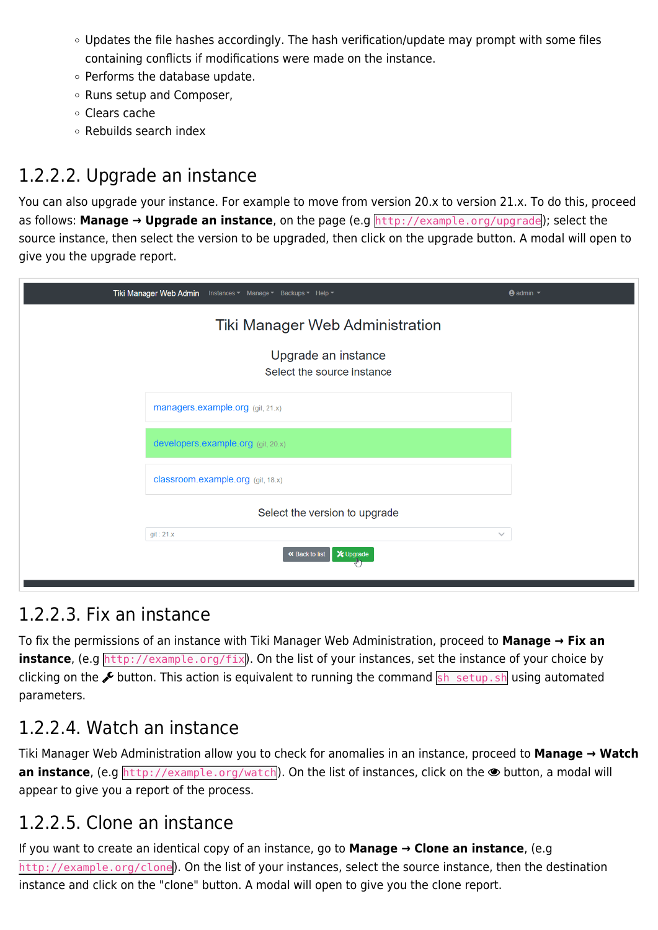- $\circ$  Updates the file hashes accordingly. The hash verification/update may prompt with some files containing conflicts if modifications were made on the instance.
- Performs the database update.
- o Runs setup and Composer,
- Clears cache
- Rebuilds search index

## 1.2.2.2. Upgrade an instance

You can also upgrade your instance. For example to move from version 20.x to version 21.x. To do this, proceed as follows: **Manage → Upgrade an instance**, on the page (e.g http://example.org/upgrade); select the source instance, then select the version to be upgraded, then click on the upgrade button. A modal will open to give you the upgrade report.

| Tiki Manager Web Admin Instances v Manage v Backups v Help v | $\Theta$ admin $\tau$ |  |  |
|--------------------------------------------------------------|-----------------------|--|--|
| Tiki Manager Web Administration                              |                       |  |  |
| Upgrade an instance<br>Select the source instance            |                       |  |  |
| managers.example.org (git, 21.x)                             |                       |  |  |
| developers.example.org (git, 20.x)                           |                       |  |  |
| classroom.example.org (git, 18.x)                            |                       |  |  |
| Select the version to upgrade                                |                       |  |  |
| git: 21.x<br>$\checkmark$                                    |                       |  |  |
| « Back to list<br>X Upgrade                                  |                       |  |  |
|                                                              |                       |  |  |

#### 1.2.2.3. Fix an instance

To fix the permissions of an instance with Tiki Manager Web Administration, proceed to **Manage → Fix an instance**, (e.g http://example.org/fix). On the list of your instances, set the instance of your choice by clicking on the  $\&$  button. This action is equivalent to running the command sh setup. sh using automated parameters.

### 1.2.2.4. Watch an instance

Tiki Manager Web Administration allow you to check for anomalies in an instance, proceed to **Manage → Watch an instance**, (e.g http://example.org/watch). On the list of instances, click on the  $\bullet$  button, a modal will appear to give you a report of the process.

### 1.2.2.5. Clone an instance

If you want to create an identical copy of an instance, go to **Manage → Clone an instance**, (e.g http://example.org/clone). On the list of your instances, select the source instance, then the destination instance and click on the "clone" button. A modal will open to give you the clone report.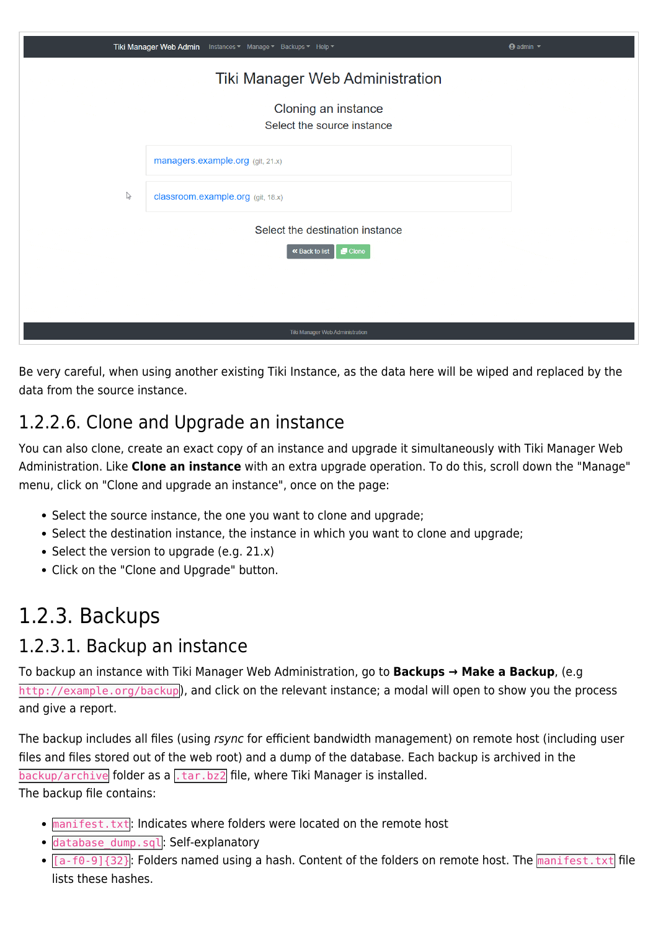|                                 | Tiki Manager Web Admin Instances v Manage v Backups v Help v      | $\Theta$ admin $\sim$ |  |  |
|---------------------------------|-------------------------------------------------------------------|-----------------------|--|--|
| Tiki Manager Web Administration |                                                                   |                       |  |  |
|                                 | Cloning an instance<br>Select the source instance                 |                       |  |  |
|                                 | managers.example.org (git, 21.x)                                  |                       |  |  |
| $\mathbb{Z}$                    | classroom.example.org (git, 18.x)                                 |                       |  |  |
|                                 | Select the destination instance<br>$\Box$ Clone<br>« Back to list |                       |  |  |
|                                 |                                                                   |                       |  |  |
|                                 | Tiki Manager Web Administration                                   |                       |  |  |

Be very careful, when using another existing Tiki Instance, as the data here will be wiped and replaced by the data from the source instance.

### 1.2.2.6. Clone and Upgrade an instance

You can also clone, create an exact copy of an instance and upgrade it simultaneously with Tiki Manager Web Administration. Like **Clone an instance** with an extra upgrade operation. To do this, scroll down the "Manage" menu, click on "Clone and upgrade an instance", once on the page:

- Select the source instance, the one you want to clone and upgrade;
- Select the destination instance, the instance in which you want to clone and upgrade;
- Select the version to upgrade (e.g.  $21.x$ )
- Click on the "Clone and Upgrade" button.

# 1.2.3. Backups

#### 1.2.3.1. Backup an instance

To backup an instance with Tiki Manager Web Administration, go to **Backups → Make a Backup**, (e.g http://example.org/backup), and click on the relevant instance; a modal will open to show you the process and give a report.

The backup includes all files (using rsync for efficient bandwidth management) on remote host (including user files and files stored out of the web root) and a dump of the database. Each backup is archived in the  $\overline{backup/archive}$  folder as a  $\overline{1.1}$ .  $\overline{1.1}$  file, where Tiki Manager is installed. The backup file contains:

- manifest.txt: Indicates where folders were located on the remote host
- database\_dump.sql: Self-explanatory
- $\bullet$  [a-f0-9]{32}: Folders named using a hash. Content of the folders on remote host. The manifest.txt file lists these hashes.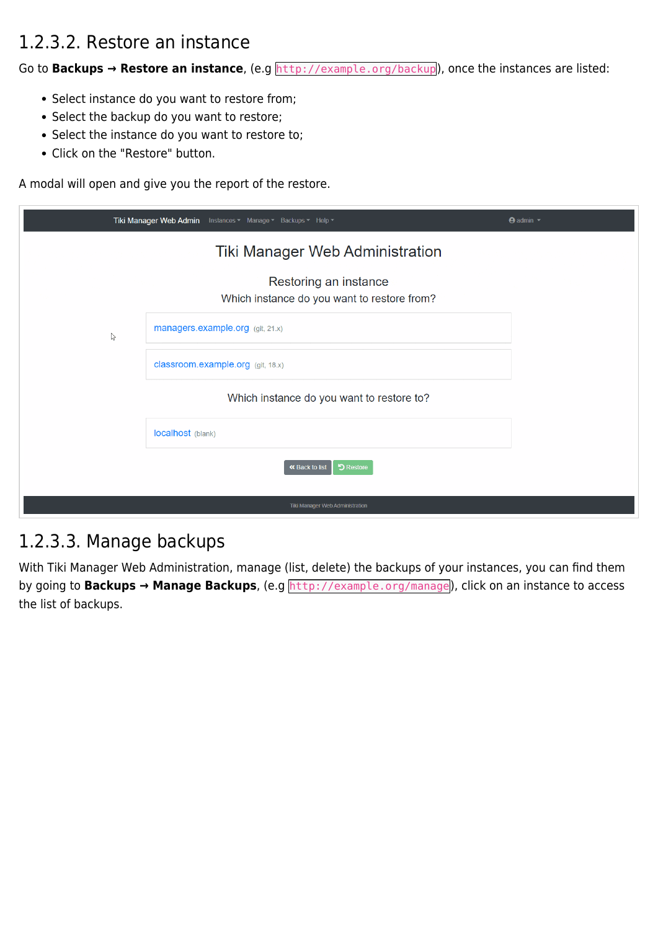### 1.2.3.2. Restore an instance

Go to **Backups → Restore an instance**, (e.g http://example.org/backup), once the instances are listed:

- Select instance do you want to restore from;
- Select the backup do you want to restore;
- Select the instance do you want to restore to;
- Click on the "Restore" button.

A modal will open and give you the report of the restore.

|              | Tiki Manager Web Admin<br>Instances ▼ Manage ▼ Backups ▼ Help ▼      | $\Theta$ admin $\sim$ |
|--------------|----------------------------------------------------------------------|-----------------------|
|              | Tiki Manager Web Administration                                      |                       |
|              | Restoring an instance<br>Which instance do you want to restore from? |                       |
| $\mathbb{R}$ | managers.example.org (git, 21.x)                                     |                       |
|              | classroom.example.org (git, 18.x)                                    |                       |
|              | Which instance do you want to restore to?                            |                       |
|              | localhost (blank)                                                    |                       |
|              | « Back to list<br><b>う Restore</b>                                   |                       |
|              | Tiki Manager Web Administration                                      |                       |

#### 1.2.3.3. Manage backups

With Tiki Manager Web Administration, manage (list, delete) the backups of your instances, you can find them by going to **Backups → Manage Backups**, (e.g http://example.org/manage), click on an instance to access the list of backups.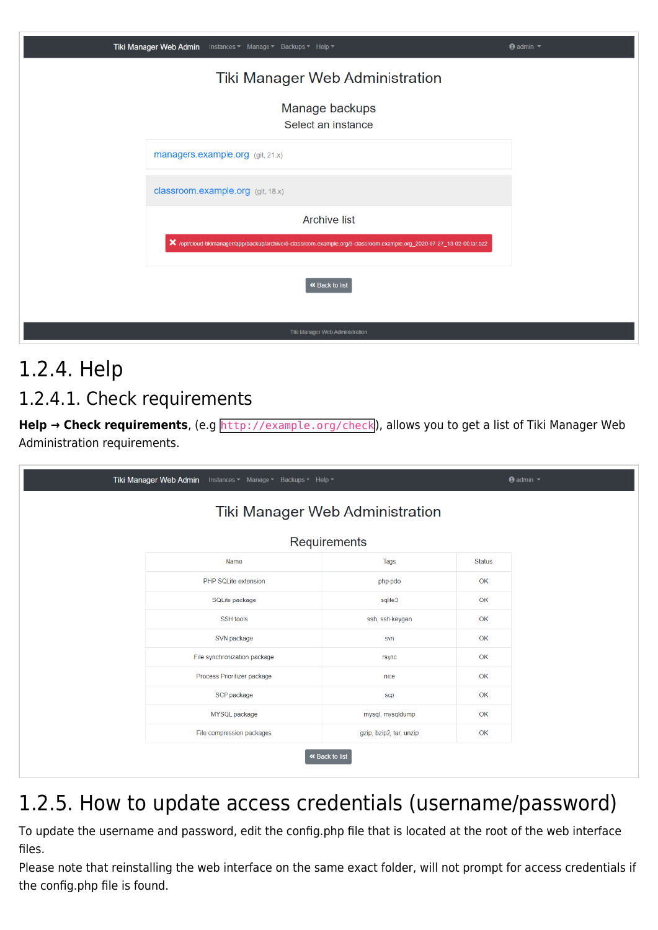| Tiki Manager Web Admin Instances v Manage v Backups v Help v                                                            | <b>⊕</b> admin ▼ |
|-------------------------------------------------------------------------------------------------------------------------|------------------|
| Tiki Manager Web Administration                                                                                         |                  |
| Manage backups<br>Select an instance                                                                                    |                  |
| managers.example.org (git, 21.x)                                                                                        |                  |
| classroom.example.org (glt, 18.x)                                                                                       |                  |
| <b>Archive list</b>                                                                                                     |                  |
| X /opt/cloud-tikimanager/app/backup/archive/5-classroom.example.org/5-classroom.example.org_2020-07-27_13-02-00.tar.bz2 |                  |
| « Back to list                                                                                                          |                  |
| Tiki Manager Web Administration                                                                                         |                  |

# 1.2.4. Help

### 1.2.4.1. Check requirements

Help → Check requirements, (e.g http://example.org/check), allows you to get a list of Tiki Manager Web Administration requirements.

| Tiki Manager Web Admin Instances v Manage v Backups v Help v |                                 | $\Theta$ admin $\tau$ |
|--------------------------------------------------------------|---------------------------------|-----------------------|
|                                                              | Tiki Manager Web Administration |                       |
|                                                              | Requirements                    |                       |
| Name                                                         | Tags                            | Status                |
| PHP SQLite extension                                         | php-pdo                         | OK                    |
| SQLite package                                               | sqlite3                         | OK                    |
| SSH tools                                                    | ssh, ssh-keygen                 | OK                    |
| SVN package                                                  | svn                             | OK                    |
| File synchronization package                                 | rsync                           | OK                    |
| Process Prioritizer package                                  | nice                            | OK                    |
| SCP package                                                  | scp                             | OK                    |
| MYSQL package                                                | mysql, mysqldump                | OK                    |
| File compression packages                                    | gzip, bzip2, tar, unzip         | OK                    |

# 1.2.5. How to update access credentials (username/password)

To update the username and password, edit the config.php file that is located at the root of the web interface files.

Please note that reinstalling the web interface on the same exact folder, will not prompt for access credentials if the config.php file is found.